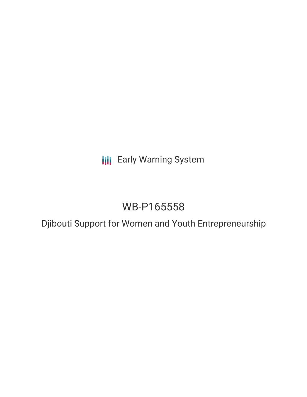**III** Early Warning System

# WB-P165558

Djibouti Support for Women and Youth Entrepreneurship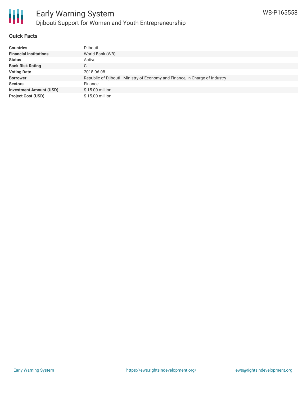

### **Quick Facts**

| <b>Countries</b>               | Djibouti                                                                      |
|--------------------------------|-------------------------------------------------------------------------------|
| <b>Financial Institutions</b>  | World Bank (WB)                                                               |
| <b>Status</b>                  | Active                                                                        |
| <b>Bank Risk Rating</b>        | C                                                                             |
| <b>Voting Date</b>             | 2018-06-08                                                                    |
| <b>Borrower</b>                | Republic of Djibouti - Ministry of Economy and Finance, in Charge of Industry |
| <b>Sectors</b>                 | Finance                                                                       |
| <b>Investment Amount (USD)</b> | $$15.00$ million                                                              |
| <b>Project Cost (USD)</b>      | $$15.00$ million                                                              |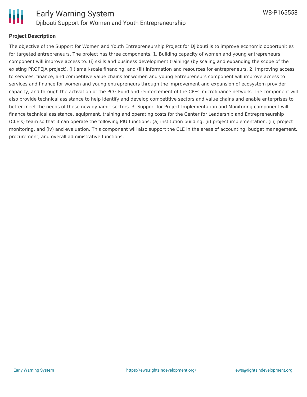

#### **Project Description**

The objective of the Support for Women and Youth Entrepreneurship Project for Djibouti is to improve economic opportunities for targeted entrepreneurs. The project has three components. 1. Building capacity of women and young entrepreneurs component will improve access to: (i) skills and business development trainings (by scaling and expanding the scope of the existing PROPEJA project), (ii) small-scale financing, and (iii) information and resources for entrepreneurs. 2. Improving access to services, finance, and competitive value chains for women and young entrepreneurs component will improve access to services and finance for women and young entrepreneurs through the improvement and expansion of ecosystem provider capacity, and through the activation of the PCG Fund and reinforcement of the CPEC microfinance network. The component will also provide technical assistance to help identify and develop competitive sectors and value chains and enable enterprises to better meet the needs of these new dynamic sectors. 3. Support for Project Implementation and Monitoring component will finance technical assistance, equipment, training and operating costs for the Center for Leadership and Entrepreneurship (CLE's) team so that it can operate the following PIU functions: (a) institution building, (ii) project implementation, (iii) project monitoring, and (iv) and evaluation. This component will also support the CLE in the areas of accounting, budget management, procurement, and overall administrative functions.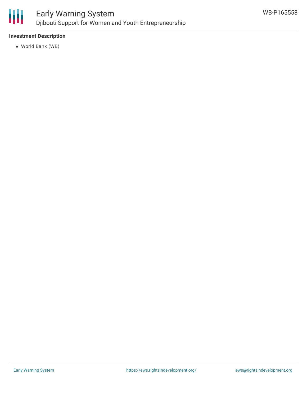

# **Investment Description**

World Bank (WB)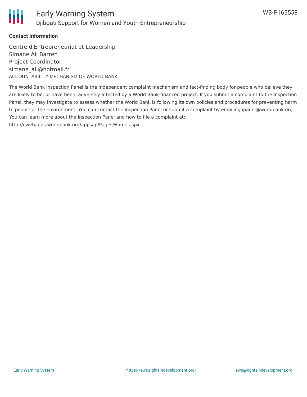

## **Contact Information**

Centre d'Entrepreneuriat et Leadership Simane Ali Barreh Project Coordinator simane\_ali@hotmail.fr ACCOUNTABILITY MECHANISM OF WORLD BANK

The World Bank Inspection Panel is the independent complaint mechanism and fact-finding body for people who believe they are likely to be, or have been, adversely affected by a World Bank-financed project. If you submit a complaint to the Inspection Panel, they may investigate to assess whether the World Bank is following its own policies and procedures for preventing harm to people or the environment. You can contact the Inspection Panel or submit a complaint by emailing ipanel@worldbank.org. You can learn more about the Inspection Panel and how to file a complaint at: http://ewebapps.worldbank.org/apps/ip/Pages/Home.aspx.